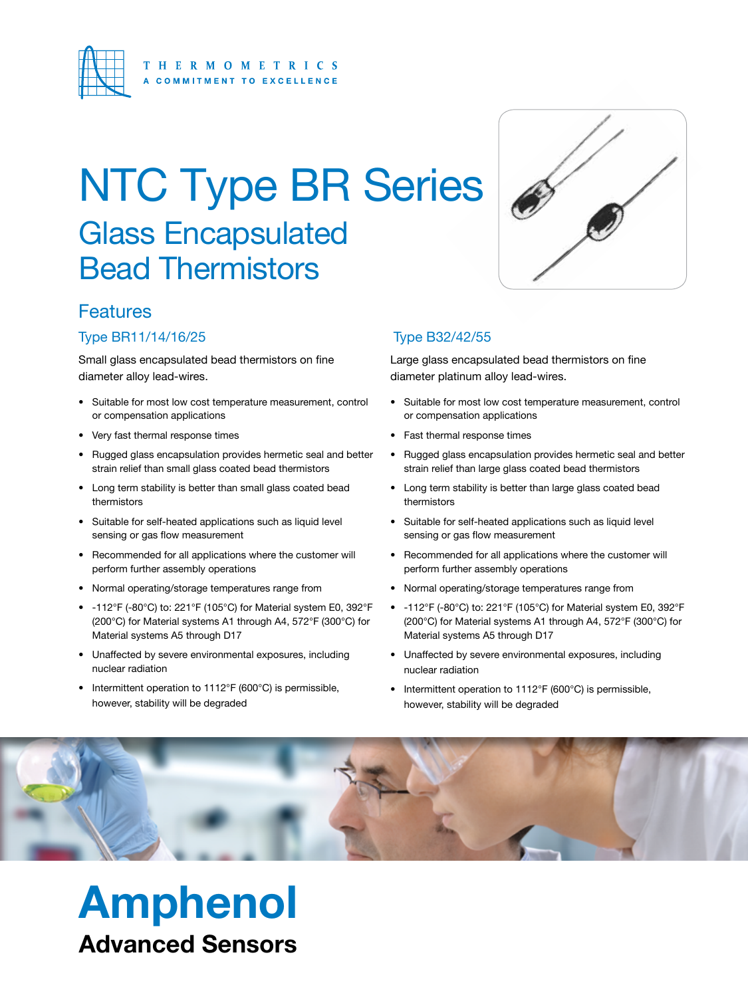

## Glass Encapsulated Bead Thermistors NTC Type BR Series



## **Features**

#### Type BR11/14/16/25

Small glass encapsulated bead thermistors on fine diameter alloy lead-wires.

- Suitable for most low cost temperature measurement, control or compensation applications
- Very fast thermal response times
- Rugged glass encapsulation provides hermetic seal and better strain relief than small glass coated bead thermistors
- Long term stability is better than small glass coated bead thermistors
- Suitable for self-heated applications such as liquid level sensing or gas flow measurement
- Recommended for all applications where the customer will perform further assembly operations
- Normal operating/storage temperatures range from
- -112°F (-80°C) to: 221°F (105°C) for Material system E0, 392°F (200°C) for Material systems A1 through A4, 572°F (300°C) for Material systems A5 through D17
- Unaffected by severe environmental exposures, including nuclear radiation
- Intermittent operation to 1112°F (600°C) is permissible, however, stability will be degraded

Amphenol

Advanced Sensors

### Type B32/42/55

Large glass encapsulated bead thermistors on fine diameter platinum alloy lead-wires.

- Suitable for most low cost temperature measurement, control or compensation applications
- Fast thermal response times
- Rugged glass encapsulation provides hermetic seal and better strain relief than large glass coated bead thermistors
- Long term stability is better than large glass coated bead thermistors
- Suitable for self-heated applications such as liquid level sensing or gas flow measurement
- Recommended for all applications where the customer will perform further assembly operations
- Normal operating/storage temperatures range from
- -112°F (-80°C) to: 221°F (105°C) for Material system E0, 392°F (200°C) for Material systems A1 through A4, 572°F (300°C) for Material systems A5 through D17
- Unaffected by severe environmental exposures, including nuclear radiation
- Intermittent operation to 1112°F (600°C) is permissible, however, stability will be degraded

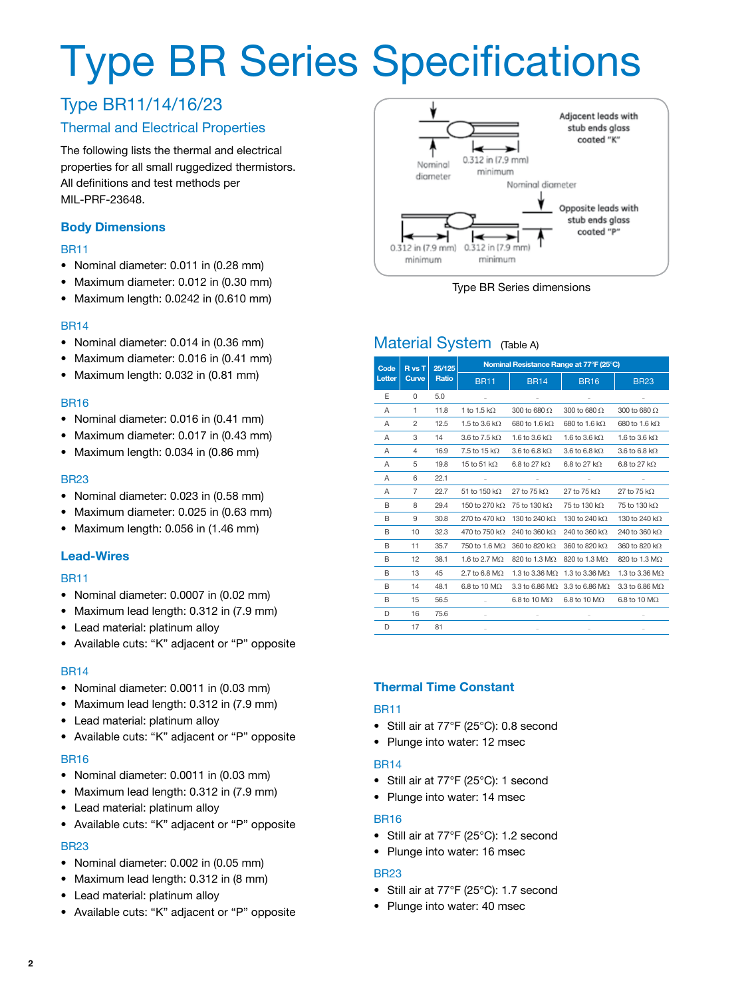## Type BR Series Specifications

## Type BR11/14/16/23

#### Thermal and Electrical Properties

The following lists the thermal and electrical properties for all small ruggedized thermistors. All definitions and test methods per MIL-PRF-23648.

#### **Body Dimensions**

#### BR11

- Nominal diameter: 0.011 in (0.28 mm)
- Maximum diameter: 0.012 in (0.30 mm)
- Maximum length: 0.0242 in (0.610 mm)

#### BR14

- Nominal diameter: 0.014 in (0.36 mm)
- Maximum diameter: 0.016 in (0.41 mm)
- Maximum length: 0.032 in (0.81 mm)

#### BR16

- Nominal diameter: 0.016 in (0.41 mm)
- Maximum diameter: 0.017 in (0.43 mm)
- Maximum length: 0.034 in (0.86 mm)

#### BR23

- Nominal diameter: 0.023 in (0.58 mm)
- Maximum diameter: 0.025 in (0.63 mm)
- Maximum length: 0.056 in (1.46 mm)

#### **Lead-Wires**

#### BR11

- Nominal diameter: 0.0007 in (0.02 mm)
- Maximum lead length: 0.312 in (7.9 mm)
- Lead material: platinum alloy
- Available cuts: "K" adjacent or "P" opposite

#### BR14

- Nominal diameter: 0.0011 in (0.03 mm)
- Maximum lead length: 0.312 in (7.9 mm)
- Lead material: platinum alloy
- Available cuts: "K" adjacent or "P" opposite

#### BR16

- Nominal diameter: 0.0011 in (0.03 mm)
- Maximum lead length: 0.312 in (7.9 mm)
- Lead material: platinum alloy
- Available cuts: "K" adjacent or "P" opposite

#### BR23

- Nominal diameter: 0.002 in (0.05 mm)
- Maximum lead length: 0.312 in (8 mm)
- Lead material: platinum alloy
- Available cuts: "K" adjacent or "P" opposite



Type BR Series dimensions

### Material System (Table A)

| Code   | R <sub>vs</sub> T<br>Curve | 25/125<br>Ratio | Nominal Resistance Range at 77°F (25°C) |                            |                                               |                       |  |  |
|--------|----------------------------|-----------------|-----------------------------------------|----------------------------|-----------------------------------------------|-----------------------|--|--|
| Letter |                            |                 | <b>BR11</b>                             | <b>BR14</b>                | <b>BR16</b>                                   | <b>BR23</b>           |  |  |
| E      | $\Omega$                   | 5.0             |                                         |                            |                                               |                       |  |  |
| A      | 1                          | 11.8            | 1 to 1.5 k $\Omega$                     | 300 to 680 $\Omega$        | 300 to 680 $\Omega$                           | 300 to 680 $\Omega$   |  |  |
| A      | $\overline{c}$             | 12.5            | 1.5 to 3.6 kO.                          | 680 to 1.6 kQ              | 680 to 1.6 kQ                                 | 680 to 1.6 kQ         |  |  |
| A      | 3                          | 14              | $3.6$ to $7.5$ kO.                      | 1.6 to 3.6 kO.             | 1.6 to 3.6 kO.                                | 1.6 to 3.6 kO.        |  |  |
| A      | 4                          | 16.9            | 7.5 to 15 k $\Omega$                    | 3.6 to 6.8 k $\Omega$      | 3.6 to 6.8 k $\Omega$                         | 3.6 to 6.8 k $\Omega$ |  |  |
| Α      | 5                          | 19.8            | 15 to 51 k $\Omega$                     | 6.8 to 27 $k\Omega$        | 6.8 to 27 $k\Omega$                           | 6.8 to 27 $k\Omega$   |  |  |
| A      | 6                          | 22.1            |                                         |                            |                                               |                       |  |  |
| A      | 7                          | 22.7            | 51 to 150 k $\Omega$                    | 27 to 75 k $\Omega$        | 27 to 75 k $\Omega$                           | 27 to 75 k $\Omega$   |  |  |
| B      | 8                          | 29.4            | 150 to 270 kQ                           | 75 to 130 kQ               | 75 to 130 kQ                                  | 75 to 130 kΩ          |  |  |
| B      | 9                          | 30.8            | 270 to 470 kQ                           | 130 to 240 kQ              | 130 to 240 kQ                                 | 130 to 240 kO         |  |  |
| в      | 10                         | 32.3            | 470 to 750 k $\Omega$                   | 240 to 360 kΩ              | 240 to 360 k $\Omega$                         | 240 to 360 k $\Omega$ |  |  |
| В      | 11                         | 35.7            | 750 to 1.6 $M\Omega$                    | 360 to 820 k $\Omega$      | 360 to 820 k $\Omega$                         | 360 to 820 kΩ         |  |  |
| B      | 12                         | 38.1            | 1.6 to 2.7 $M\Omega$                    | 820 to 1.3 MΩ              | 820 to 1.3 MΩ                                 | 820 to 1.3 MΩ         |  |  |
| В      | 13                         | 45              | $2.7$ to 6.8 MO.                        | 1.3 to 3.36 MO.            | 1.3 to 3.36 MO                                | 1.3 to 3.36 MO        |  |  |
| B      | 14                         | 48.1            | 6.8 to 10 $M\Omega$                     |                            | 3.3 to 6.86 M $\Omega$ 3.3 to 6.86 M $\Omega$ | $3.3$ to 6.86 MO.     |  |  |
| В      | 15                         | 56.5            |                                         | 6.8 to 10 $\text{M}\Omega$ | $6.8$ to 10 M $\Omega$                        | 6.8 to 10 M.O.        |  |  |
| D      | 16                         | 75.6            |                                         |                            |                                               |                       |  |  |
| D      | 17                         | 81              |                                         |                            |                                               |                       |  |  |

#### **Thermal Time Constant**

#### BR11

- Still air at 77°F (25°C): 0.8 second
- Plunge into water: 12 msec

#### BR14

- Still air at 77°F (25°C): 1 second
- Plunge into water: 14 msec

#### BR16

- Still air at 77°F (25°C): 1.2 second
- Plunge into water: 16 msec

#### BR23

- Still air at 77°F (25°C): 1.7 second
- Plunge into water: 40 msec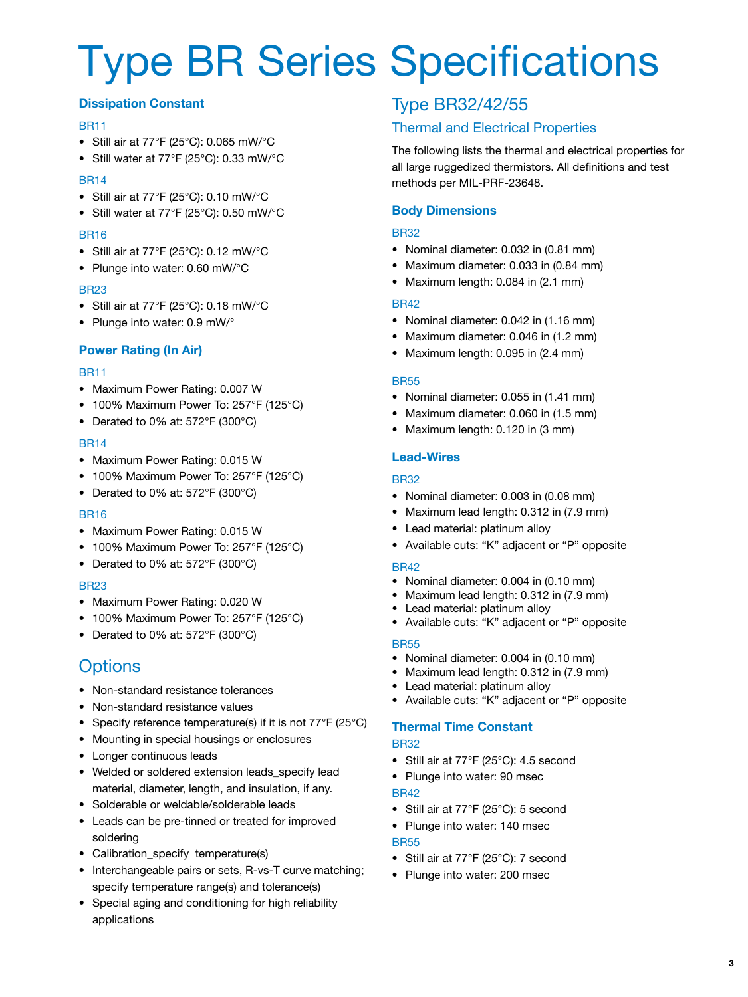## Type BR Series Specifications

#### **Dissipation Constant**

#### BR11

- Still air at 77°F (25°C): 0.065 mW/°C
- Still water at 77°F (25°C): 0.33 mW/°C

#### BR14

- Still air at 77°F (25°C): 0.10 mW/°C
- Still water at 77°F (25°C): 0.50 mW/°C

#### BR16

- Still air at 77°F (25°C): 0.12 mW/°C
- Plunge into water: 0.60 mW/°C

#### BR23

- Still air at 77°F (25°C): 0.18 mW/°C
- Plunge into water: 0.9 mW/°

#### **Power Rating (In Air)**

#### BR11

- Maximum Power Rating: 0.007 W
- 100% Maximum Power To: 257°F (125°C)
- Derated to 0% at: 572°F (300°C)

#### BR14

- Maximum Power Rating: 0.015 W
- 100% Maximum Power To: 257°F (125°C)
- Derated to 0% at: 572°F (300°C)

#### BR16

- Maximum Power Rating: 0.015 W
- 100% Maximum Power To: 257°F (125°C)
- Derated to 0% at: 572°F (300°C)

#### BR23

- Maximum Power Rating: 0.020 W
- 100% Maximum Power To: 257°F (125°C)
- Derated to 0% at: 572°F (300°C)

## **Options**

- Non-standard resistance tolerances
- Non-standard resistance values
- Specify reference temperature(s) if it is not 77°F (25°C)
- Mounting in special housings or enclosures
- Longer continuous leads
- Welded or soldered extension leads\_specify lead material, diameter, length, and insulation, if any.
- Solderable or weldable/solderable leads
- Leads can be pre-tinned or treated for improved soldering
- Calibration\_specify temperature(s)
- Interchangeable pairs or sets, R-vs-T curve matching; specify temperature range(s) and tolerance(s)
- Special aging and conditioning for high reliability applications

## Type BR32/42/55

### Thermal and Electrical Properties

The following lists the thermal and electrical properties for all large ruggedized thermistors. All definitions and test methods per MIL-PRF-23648.

#### **Body Dimensions**

#### BR32

- Nominal diameter: 0.032 in (0.81 mm)
- Maximum diameter: 0.033 in (0.84 mm)
- Maximum length: 0.084 in (2.1 mm)

#### BR42

- Nominal diameter: 0.042 in (1.16 mm)
- Maximum diameter: 0.046 in (1.2 mm)
- Maximum length: 0.095 in (2.4 mm)

#### BR55

- Nominal diameter: 0.055 in (1.41 mm)
- Maximum diameter: 0.060 in (1.5 mm)
- Maximum length: 0.120 in (3 mm)

#### **Lead-Wires**

#### BR32

- Nominal diameter: 0.003 in (0.08 mm)
- Maximum lead length: 0.312 in (7.9 mm)
- Lead material: platinum alloy
- Available cuts: "K" adjacent or "P" opposite

#### BR42

- Nominal diameter: 0.004 in (0.10 mm)
- Maximum lead length: 0.312 in (7.9 mm)
- Lead material: platinum alloy
- Available cuts: "K" adjacent or "P" opposite

#### BR55

- Nominal diameter: 0.004 in (0.10 mm)
- Maximum lead length: 0.312 in (7.9 mm)
- Lead material: platinum alloy
- Available cuts: "K" adjacent or "P" opposite

#### **Thermal Time Constant** BR32

- Still air at 77°F (25°C): 4.5 second
- Plunge into water: 90 msec BR42
- Still air at 77°F (25°C): 5 second
- Plunge into water: 140 msec

#### **BR55**

- Still air at 77°F (25°C): 7 second
- Plunge into water: 200 msec